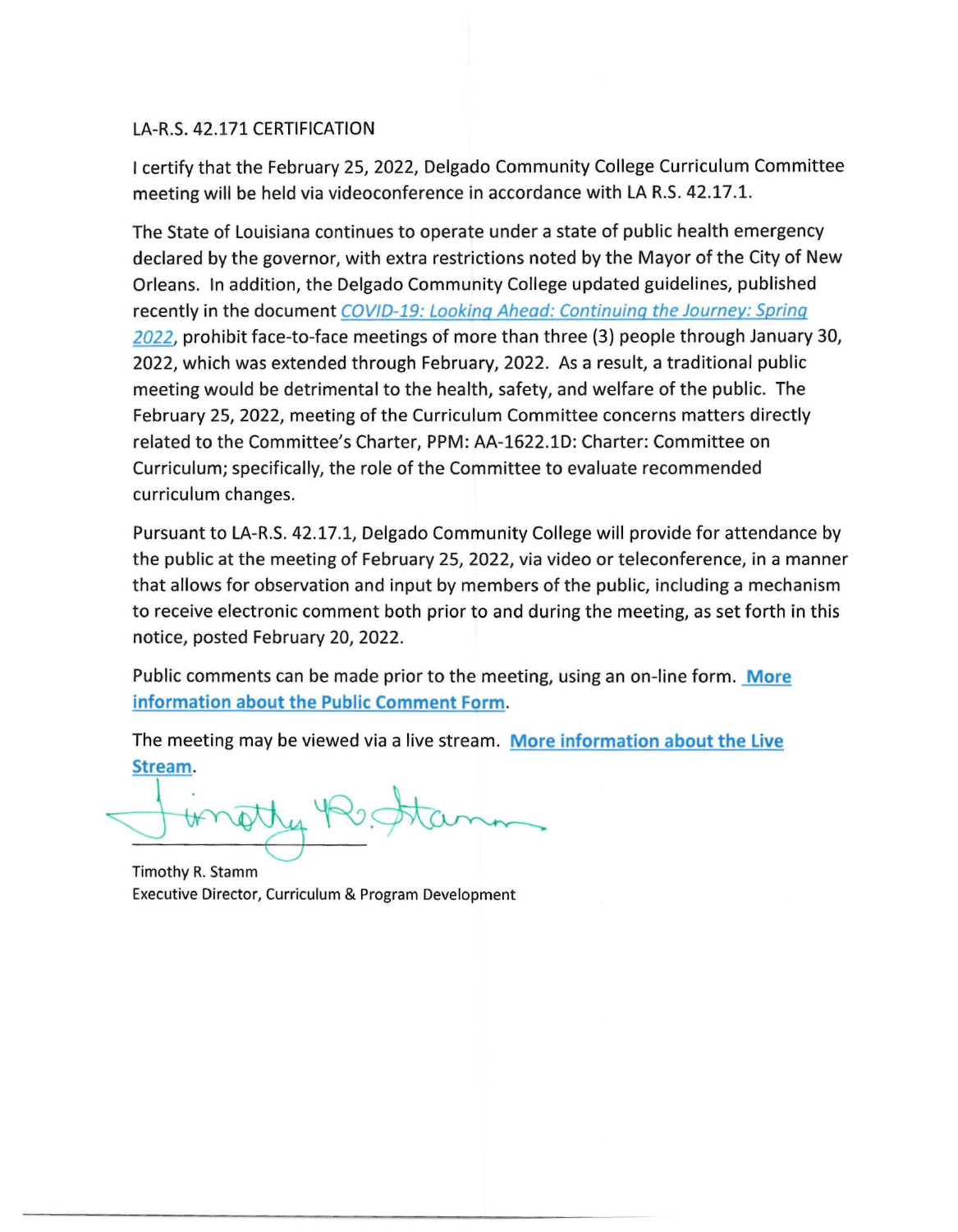# LA-R.S. 42.171 CERTIFICATION

I certify that the February 25, 2022, Delgado Community College Curriculum Committee meeting will be held via videoconference in accordance with LA R.S. 42.17.1.

The State of Louisiana continues to operate under a state of public health emergency declared by the governor, with extra restrictions noted by the Mayor of the City of New Orleans. In addition, the Delgado Community College updated guidelines, published recently in the document COVID-19: Looking Ahead: Continuing the Journey: Spring *2022,* prohibit face-to-face meetings of more than three (3) people through January 30, 2022, which was extended through February, 2022. As a result, a traditional public meeting would be detrimental to the health, safety, and welfare of the public. The February 25, 2022, meeting of the Curriculum Committee concerns matters directly related to the Committee's Charter, PPM: AA-1622.lD: Charter: Committee on Curriculum; specifically, the role of the Committee to evaluate recommended curriculum changes.

Pursuant to LA-R.S. 42.17.1, Delgado Community College will provide for attendance by the public at the meeting of February 25, 2022, via video or teleconference, in a manner that allows for observation and input by members of the public, including a mechanism to receive electronic comment both prior to and during the meeting, as set forth in this notice, posted February 20, 2022.

Public comments can be made prior to the meeting, using an on-line form. **More information about the Public Comment Form.** 

The meeting may be viewed via a live stream. **More information about the Live Stream.** 

stream.<br>Finatty Restan

Timothy R. Stamm Executive Director, Curriculum & Program Development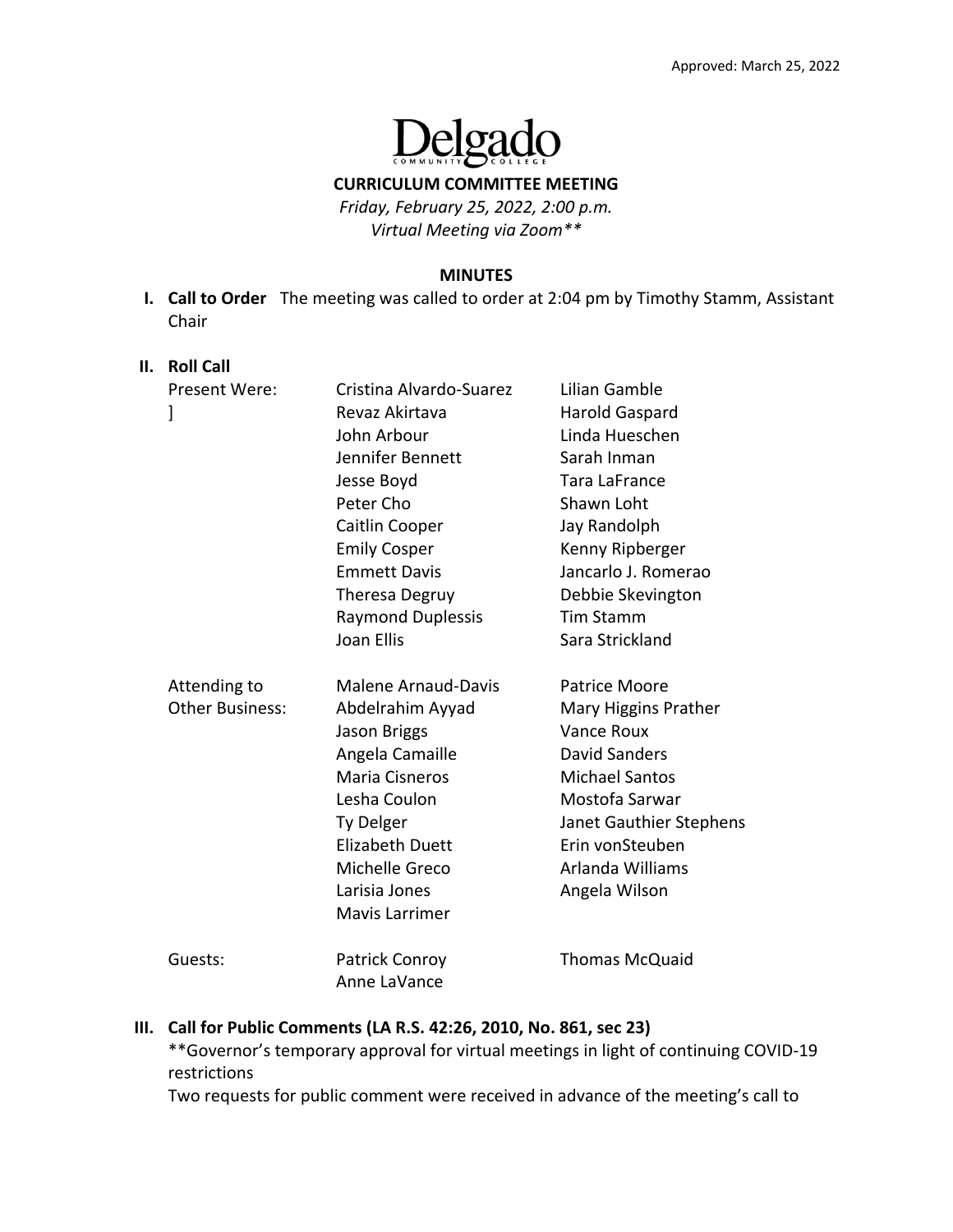

**CURRICULUM COMMITTEE MEETING**

*Friday, February 25, 2022, 2:00 p.m. Virtual Meeting via Zoom\*\**

#### **MINUTES**

**I. Call to Order**  The meeting was called to order at 2:04 pm by Timothy Stamm, Assistant Chair 

#### **II. Roll Call**

| Present Were:<br>]                     | Cristina Alvardo-Suarez<br>Revaz Akirtava<br>John Arbour<br>Jennifer Bennett<br>Jesse Boyd<br>Peter Cho<br>Caitlin Cooper<br><b>Emily Cosper</b><br><b>Emmett Davis</b><br><b>Theresa Degruy</b><br><b>Raymond Duplessis</b>                | Lilian Gamble<br>Harold Gaspard<br>Linda Hueschen<br>Sarah Inman<br><b>Tara LaFrance</b><br>Shawn Loht<br>Jay Randolph<br>Kenny Ripberger<br>Jancarlo J. Romerao<br>Debbie Skevington<br><b>Tim Stamm</b>                    |
|----------------------------------------|---------------------------------------------------------------------------------------------------------------------------------------------------------------------------------------------------------------------------------------------|------------------------------------------------------------------------------------------------------------------------------------------------------------------------------------------------------------------------------|
| Attending to<br><b>Other Business:</b> | Joan Ellis<br><b>Malene Arnaud-Davis</b><br>Abdelrahim Ayyad<br><b>Jason Briggs</b><br>Angela Camaille<br><b>Maria Cisneros</b><br>Lesha Coulon<br>Ty Delger<br><b>Elizabeth Duett</b><br>Michelle Greco<br>Larisia Jones<br>Mavis Larrimer | Sara Strickland<br>Patrice Moore<br>Mary Higgins Prather<br>Vance Roux<br><b>David Sanders</b><br><b>Michael Santos</b><br>Mostofa Sarwar<br>Janet Gauthier Stephens<br>Erin vonSteuben<br>Arlanda Williams<br>Angela Wilson |
| Guests:                                | <b>Patrick Conroy</b><br>Anne LaVance                                                                                                                                                                                                       | <b>Thomas McQuaid</b>                                                                                                                                                                                                        |

### **III. Call for Public Comments (LA R.S. 42:26, 2010, No. 861, sec 23)**

\*\*Governor's temporary approval for virtual meetings in light of continuing COVID‐19 restrictions

Two requests for public comment were received in advance of the meeting's call to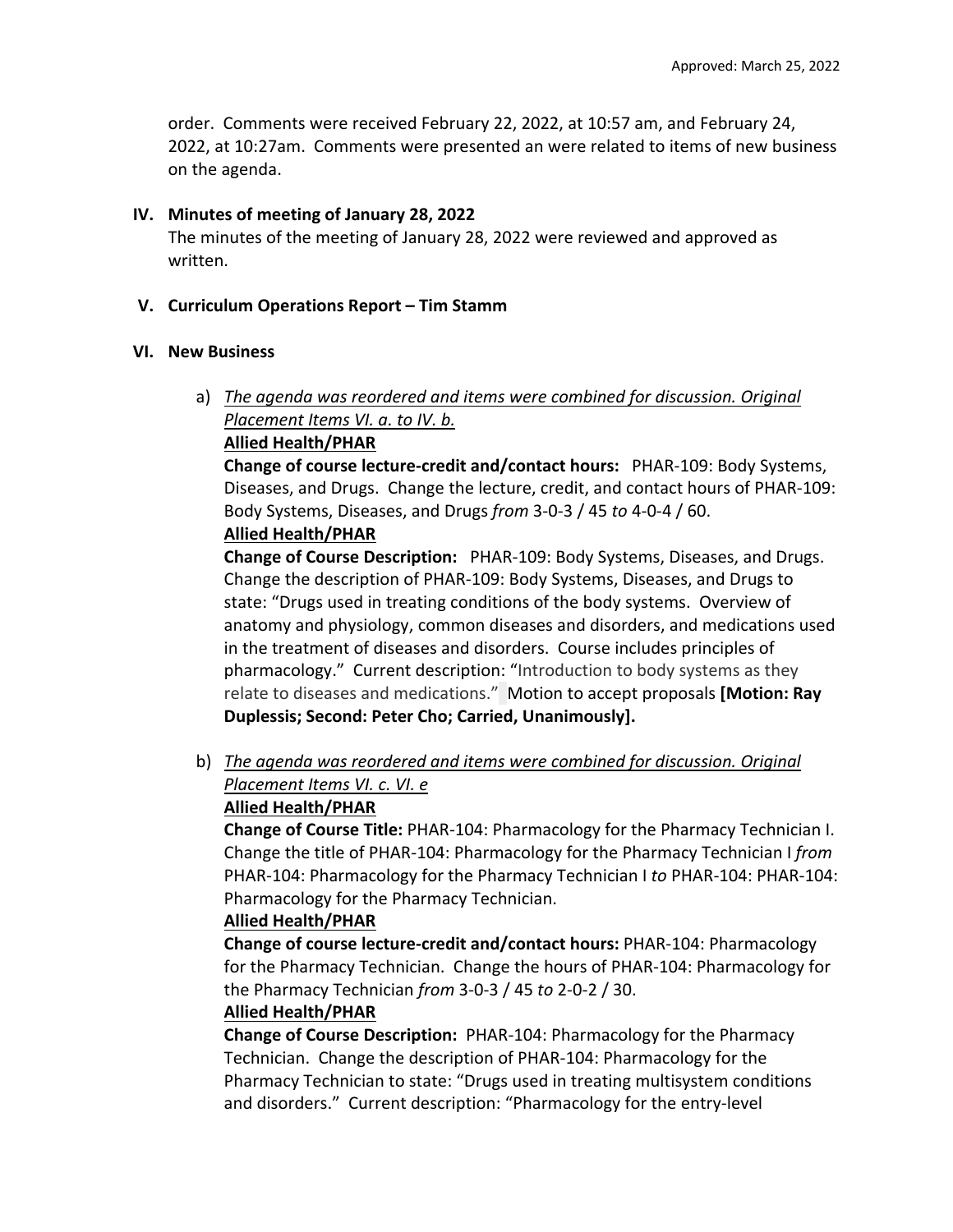order. Comments were received February 22, 2022, at 10:57 am, and February 24, 2022, at 10:27am. Comments were presented an were related to items of new business on the agenda.

### **IV. Minutes of meeting of January 28, 2022**

The minutes of the meeting of January 28, 2022 were reviewed and approved as written.

## **V. Curriculum Operations Report – Tim Stamm**

## **VI. New Business**

a) *The agenda was reordered and items were combined for discussion. Original Placement Items VI. a. to IV. b.* 

## **Allied Health/PHAR**

**Change of course lecture‐credit and/contact hours:**  PHAR‐109: Body Systems, Diseases, and Drugs. Change the lecture, credit, and contact hours of PHAR‐109: Body Systems, Diseases, and Drugs *from* 3‐0‐3 / 45 *to* 4‐0‐4 / 60.

# **Allied Health/PHAR**

**Change of Course Description:**  PHAR‐109: Body Systems, Diseases, and Drugs. Change the description of PHAR‐109: Body Systems, Diseases, and Drugs to state: "Drugs used in treating conditions of the body systems. Overview of anatomy and physiology, common diseases and disorders, and medications used in the treatment of diseases and disorders. Course includes principles of pharmacology." Current description: "Introduction to body systems as they relate to diseases and medications." Motion to accept proposals **[Motion: Ray Duplessis; Second: Peter Cho; Carried, Unanimously].**

b) *The agenda was reordered and items were combined for discussion. Original Placement Items VI. c. VI. e*

# **Allied Health/PHAR**

**Change of Course Title:** PHAR‐104: Pharmacology for the Pharmacy Technician I. Change the title of PHAR‐104: Pharmacology for the Pharmacy Technician I *from* PHAR‐104: Pharmacology for the Pharmacy Technician I *to* PHAR‐104: PHAR‐104: Pharmacology for the Pharmacy Technician.

# **Allied Health/PHAR**

**Change of course lecture‐credit and/contact hours:** PHAR‐104: Pharmacology for the Pharmacy Technician. Change the hours of PHAR‐104: Pharmacology for the Pharmacy Technician *from* 3‐0‐3 / 45 *to* 2‐0‐2 / 30.

### **Allied Health/PHAR**

**Change of Course Description:** PHAR‐104: Pharmacology for the Pharmacy Technician. Change the description of PHAR‐104: Pharmacology for the Pharmacy Technician to state: "Drugs used in treating multisystem conditions and disorders." Current description: "Pharmacology for the entry‐level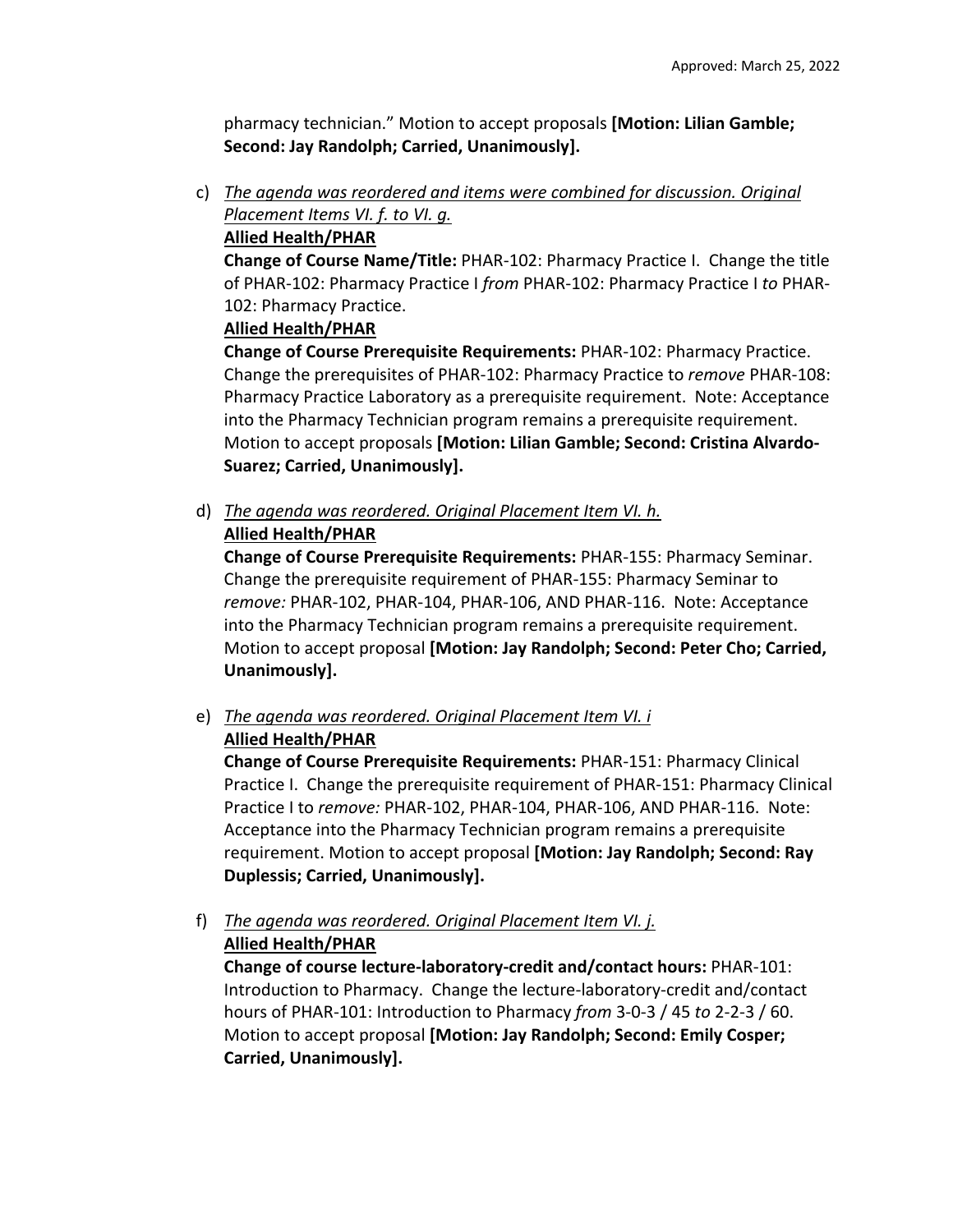pharmacy technician." Motion to accept proposals **[Motion: Lilian Gamble; Second: Jay Randolph; Carried, Unanimously].**

c) *The agenda was reordered and items were combined for discussion. Original Placement Items VI. f. to VI. g.* 

# **Allied Health/PHAR**

**Change of Course Name/Title:** PHAR‐102: Pharmacy Practice I. Change the title of PHAR‐102: Pharmacy Practice I *from* PHAR‐102: Pharmacy Practice I *to* PHAR‐ 102: Pharmacy Practice.

# **Allied Health/PHAR**

**Change of Course Prerequisite Requirements:** PHAR‐102: Pharmacy Practice. Change the prerequisites of PHAR‐102: Pharmacy Practice to *remove* PHAR‐108: Pharmacy Practice Laboratory as a prerequisite requirement. Note: Acceptance into the Pharmacy Technician program remains a prerequisite requirement. Motion to accept proposals **[Motion: Lilian Gamble; Second: Cristina Alvardo‐ Suarez; Carried, Unanimously].**

d) *The agenda was reordered. Original Placement Item VI. h.* 

# **Allied Health/PHAR**

**Change of Course Prerequisite Requirements:** PHAR‐155: Pharmacy Seminar. Change the prerequisite requirement of PHAR‐155: Pharmacy Seminar to *remove:* PHAR‐102, PHAR‐104, PHAR‐106, AND PHAR‐116. Note: Acceptance into the Pharmacy Technician program remains a prerequisite requirement. Motion to accept proposal **[Motion: Jay Randolph; Second: Peter Cho; Carried, Unanimously].**

e) *The agenda was reordered. Original Placement Item VI. i*

# **Allied Health/PHAR**

**Change of Course Prerequisite Requirements:** PHAR‐151: Pharmacy Clinical Practice I. Change the prerequisite requirement of PHAR‐151: Pharmacy Clinical Practice I to *remove:* PHAR‐102, PHAR‐104, PHAR‐106, AND PHAR‐116. Note: Acceptance into the Pharmacy Technician program remains a prerequisite requirement. Motion to accept proposal **[Motion: Jay Randolph; Second: Ray Duplessis; Carried, Unanimously].**

f) *The agenda was reordered. Original Placement Item VI. j.*  **Allied Health/PHAR**

**Change of course lecture‐laboratory‐credit and/contact hours:** PHAR‐101: Introduction to Pharmacy. Change the lecture‐laboratory‐credit and/contact hours of PHAR‐101: Introduction to Pharmacy *from* 3‐0‐3 / 45 *to* 2‐2‐3 / 60. Motion to accept proposal **[Motion: Jay Randolph; Second: Emily Cosper; Carried, Unanimously].**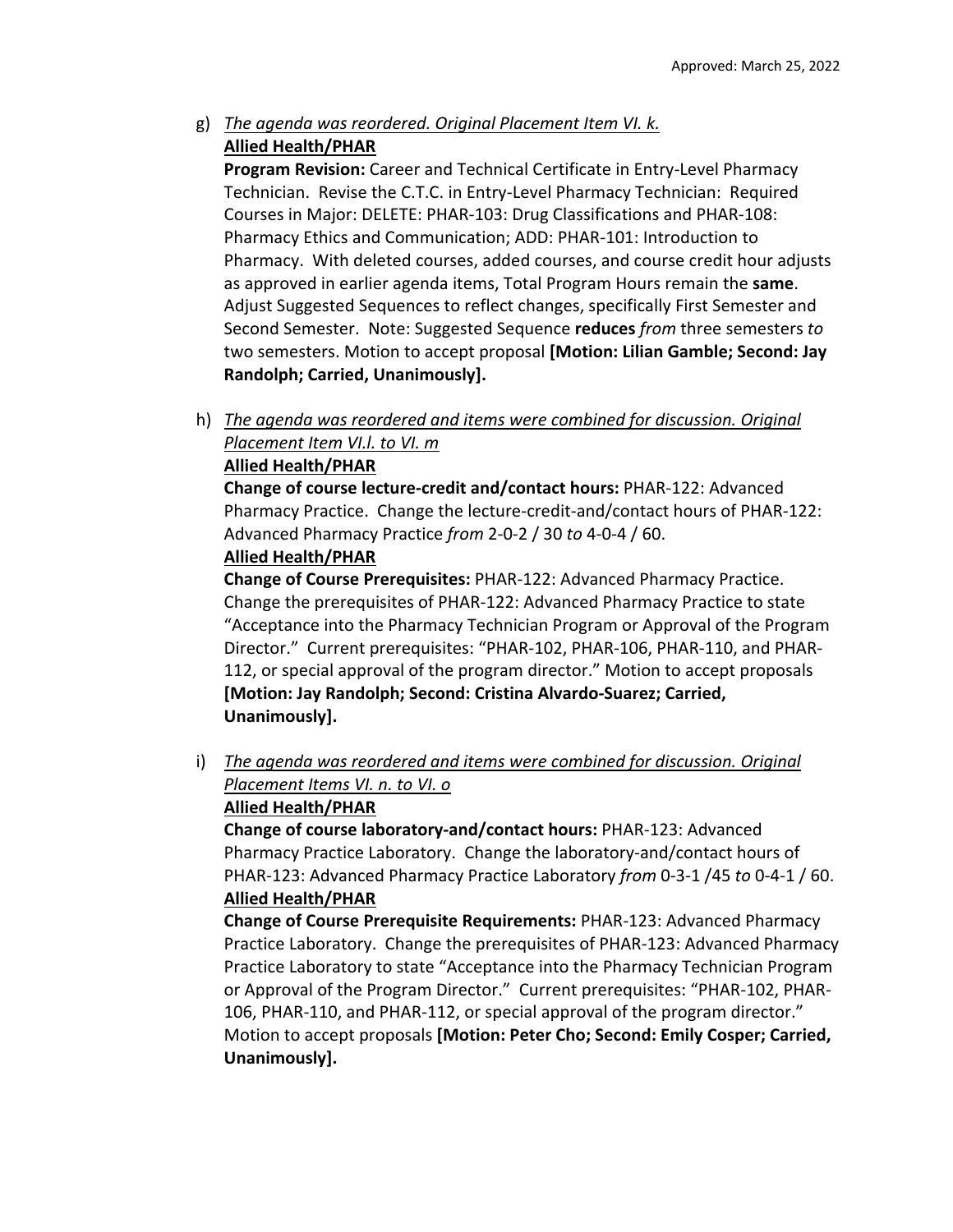g) *The agenda was reordered. Original Placement Item VI. k.*  **Allied Health/PHAR**

**Program Revision:** Career and Technical Certificate in Entry‐Level Pharmacy Technician. Revise the C.T.C. in Entry‐Level Pharmacy Technician: Required Courses in Major: DELETE: PHAR‐103: Drug Classifications and PHAR‐108: Pharmacy Ethics and Communication; ADD: PHAR‐101: Introduction to Pharmacy. With deleted courses, added courses, and course credit hour adjusts as approved in earlier agenda items, Total Program Hours remain the **same**. Adjust Suggested Sequences to reflect changes, specifically First Semester and Second Semester. Note: Suggested Sequence **reduces** *from* three semesters *to* two semesters. Motion to accept proposal **[Motion: Lilian Gamble; Second: Jay Randolph; Carried, Unanimously].**

h) *The agenda was reordered and items were combined for discussion. Original Placement Item VI.l. to VI. m*

## **Allied Health/PHAR**

**Change of course lecture‐credit and/contact hours:** PHAR‐122: Advanced Pharmacy Practice. Change the lecture‐credit‐and/contact hours of PHAR‐122: Advanced Pharmacy Practice *from* 2‐0‐2 / 30 *to* 4‐0‐4 / 60. **Allied Health/PHAR**

**Change of Course Prerequisites:** PHAR‐122: Advanced Pharmacy Practice. Change the prerequisites of PHAR‐122: Advanced Pharmacy Practice to state "Acceptance into the Pharmacy Technician Program or Approval of the Program Director." Current prerequisites: "PHAR‐102, PHAR‐106, PHAR‐110, and PHAR‐ 112, or special approval of the program director." Motion to accept proposals **[Motion: Jay Randolph; Second: Cristina Alvardo‐Suarez; Carried, Unanimously].**

i) *The agenda was reordered and items were combined for discussion. Original Placement Items VI. n. to VI. o* 

# **Allied Health/PHAR**

**Change of course laboratory‐and/contact hours:** PHAR‐123: Advanced Pharmacy Practice Laboratory. Change the laboratory‐and/contact hours of PHAR‐123: Advanced Pharmacy Practice Laboratory *from* 0‐3‐1 /45 *to* 0‐4‐1 / 60. **Allied Health/PHAR**

**Change of Course Prerequisite Requirements:** PHAR‐123: Advanced Pharmacy Practice Laboratory. Change the prerequisites of PHAR‐123: Advanced Pharmacy Practice Laboratory to state "Acceptance into the Pharmacy Technician Program or Approval of the Program Director." Current prerequisites: "PHAR‐102, PHAR‐ 106, PHAR‐110, and PHAR‐112, or special approval of the program director." Motion to accept proposals **[Motion: Peter Cho; Second: Emily Cosper; Carried, Unanimously].**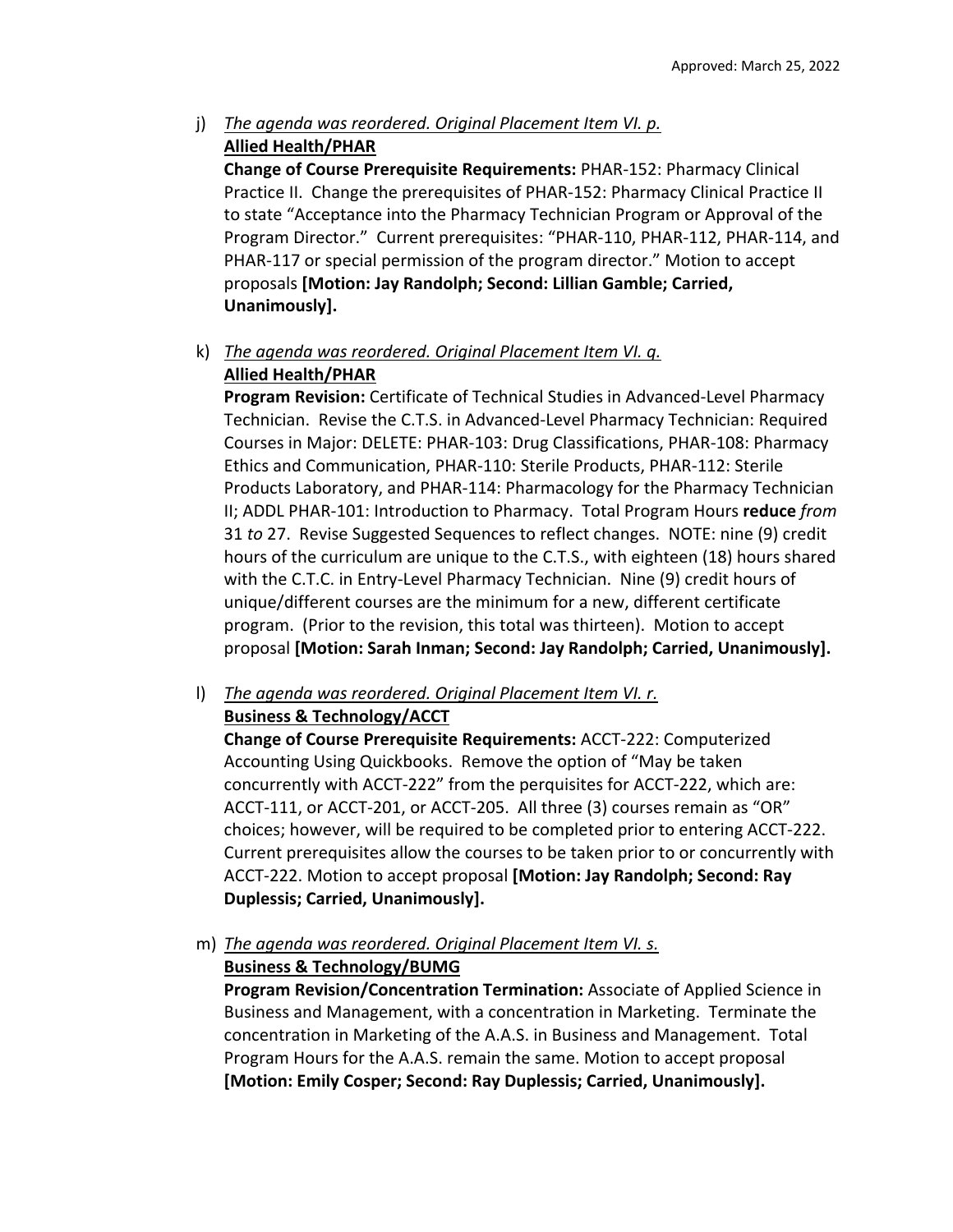### j) *The agenda was reordered. Original Placement Item VI. p.*  **Allied Health/PHAR**

**Change of Course Prerequisite Requirements:** PHAR‐152: Pharmacy Clinical Practice II. Change the prerequisites of PHAR‐152: Pharmacy Clinical Practice II to state "Acceptance into the Pharmacy Technician Program or Approval of the Program Director." Current prerequisites: "PHAR‐110, PHAR‐112, PHAR‐114, and PHAR‐117 or special permission of the program director." Motion to accept proposals **[Motion: Jay Randolph; Second: Lillian Gamble; Carried, Unanimously].**

### k) *The agenda was reordered. Original Placement Item VI. q.*  **Allied Health/PHAR**

**Program Revision:** Certificate of Technical Studies in Advanced‐Level Pharmacy Technician. Revise the C.T.S. in Advanced‐Level Pharmacy Technician: Required Courses in Major: DELETE: PHAR‐103: Drug Classifications, PHAR‐108: Pharmacy Ethics and Communication, PHAR‐110: Sterile Products, PHAR‐112: Sterile Products Laboratory, and PHAR‐114: Pharmacology for the Pharmacy Technician II; ADDL PHAR‐101: Introduction to Pharmacy. Total Program Hours **reduce** *from* 31 *to* 27. Revise Suggested Sequences to reflect changes. NOTE: nine (9) credit hours of the curriculum are unique to the C.T.S., with eighteen (18) hours shared with the C.T.C. in Entry-Level Pharmacy Technician. Nine (9) credit hours of unique/different courses are the minimum for a new, different certificate program. (Prior to the revision, this total was thirteen). Motion to accept proposal **[Motion: Sarah Inman; Second: Jay Randolph; Carried, Unanimously].**

l) *The agenda was reordered. Original Placement Item VI. r.* **Business & Technology/ACCT**

**Change of Course Prerequisite Requirements:** ACCT‐222: Computerized Accounting Using Quickbooks. Remove the option of "May be taken concurrently with ACCT‐222" from the perquisites for ACCT‐222, which are: ACCT‐111, or ACCT‐201, or ACCT‐205. All three (3) courses remain as "OR" choices; however, will be required to be completed prior to entering ACCT‐222. Current prerequisites allow the courses to be taken prior to or concurrently with ACCT‐222. Motion to accept proposal **[Motion: Jay Randolph; Second: Ray Duplessis; Carried, Unanimously].**

m) *The agenda was reordered. Original Placement Item VI. s.*

# **Business & Technology/BUMG**

**Program Revision/Concentration Termination:** Associate of Applied Science in Business and Management, with a concentration in Marketing. Terminate the concentration in Marketing of the A.A.S. in Business and Management. Total Program Hours for the A.A.S. remain the same. Motion to accept proposal **[Motion: Emily Cosper; Second: Ray Duplessis; Carried, Unanimously].**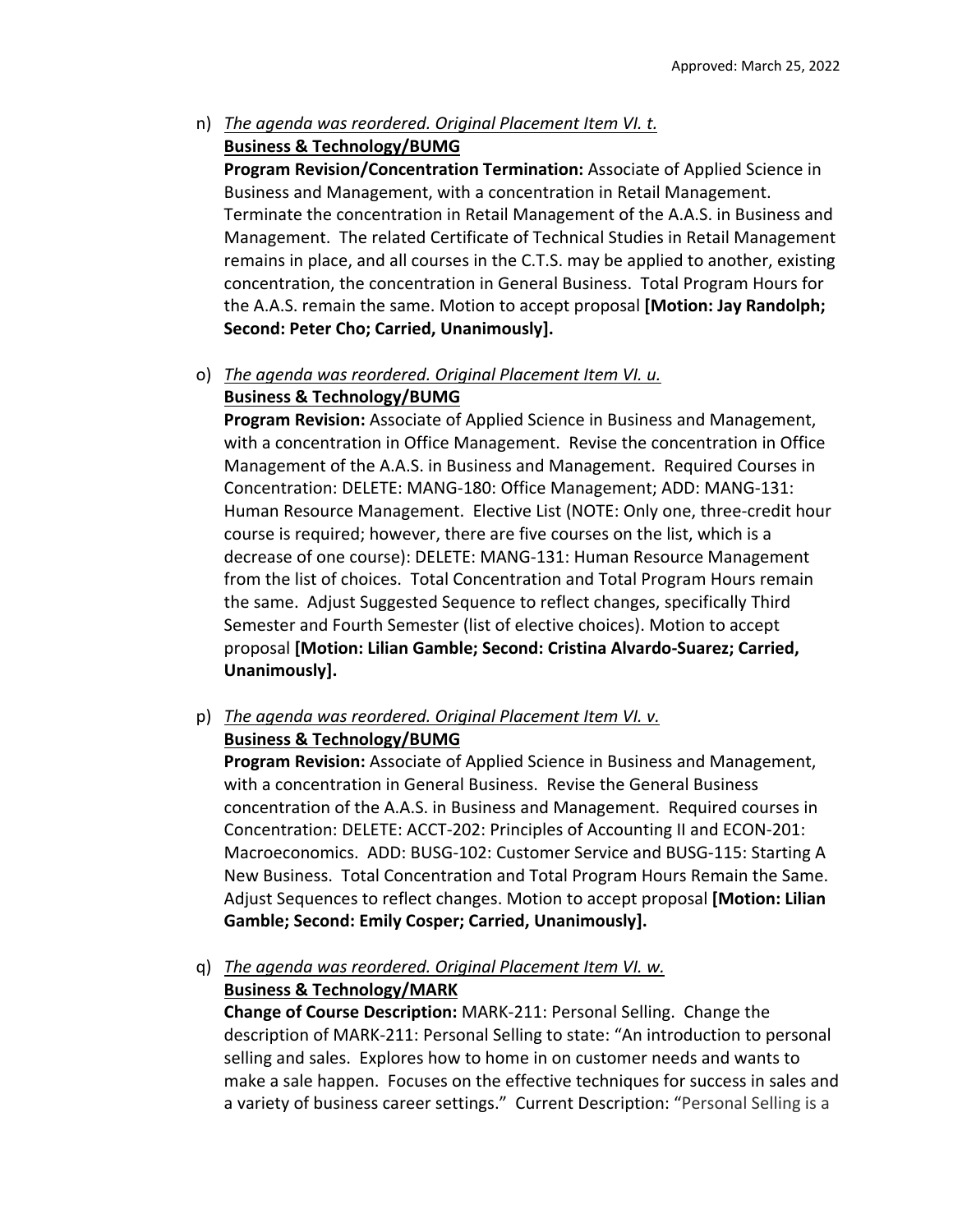n) *The agenda was reordered. Original Placement Item VI. t.*  **Business & Technology/BUMG** 

**Program Revision/Concentration Termination:** Associate of Applied Science in Business and Management, with a concentration in Retail Management. Terminate the concentration in Retail Management of the A.A.S. in Business and Management. The related Certificate of Technical Studies in Retail Management remains in place, and all courses in the C.T.S. may be applied to another, existing concentration, the concentration in General Business. Total Program Hours for the A.A.S. remain the same. Motion to accept proposal **[Motion: Jay Randolph; Second: Peter Cho; Carried, Unanimously].**

# o) *The agenda was reordered. Original Placement Item VI. u.*  **Business & Technology/BUMG**

**Program Revision:** Associate of Applied Science in Business and Management, with a concentration in Office Management. Revise the concentration in Office Management of the A.A.S. in Business and Management. Required Courses in Concentration: DELETE: MANG‐180: Office Management; ADD: MANG‐131: Human Resource Management. Elective List (NOTE: Only one, three‐credit hour course is required; however, there are five courses on the list, which is a decrease of one course): DELETE: MANG‐131: Human Resource Management from the list of choices. Total Concentration and Total Program Hours remain the same. Adjust Suggested Sequence to reflect changes, specifically Third Semester and Fourth Semester (list of elective choices). Motion to accept proposal **[Motion: Lilian Gamble; Second: Cristina Alvardo‐Suarez; Carried, Unanimously].**

p) *The agenda was reordered. Original Placement Item VI. v.*

# **Business & Technology/BUMG**

**Program Revision:** Associate of Applied Science in Business and Management, with a concentration in General Business. Revise the General Business concentration of the A.A.S. in Business and Management. Required courses in Concentration: DELETE: ACCT‐202: Principles of Accounting II and ECON‐201: Macroeconomics. ADD: BUSG‐102: Customer Service and BUSG‐115: Starting A New Business. Total Concentration and Total Program Hours Remain the Same. Adjust Sequences to reflect changes. Motion to accept proposal **[Motion: Lilian Gamble; Second: Emily Cosper; Carried, Unanimously].**

# q) *The agenda was reordered. Original Placement Item VI. w.*  **Business & Technology/MARK**

**Change of Course Description:** MARK‐211: Personal Selling. Change the description of MARK‐211: Personal Selling to state: "An introduction to personal selling and sales. Explores how to home in on customer needs and wants to make a sale happen. Focuses on the effective techniques for success in sales and a variety of business career settings." Current Description: "Personal Selling is a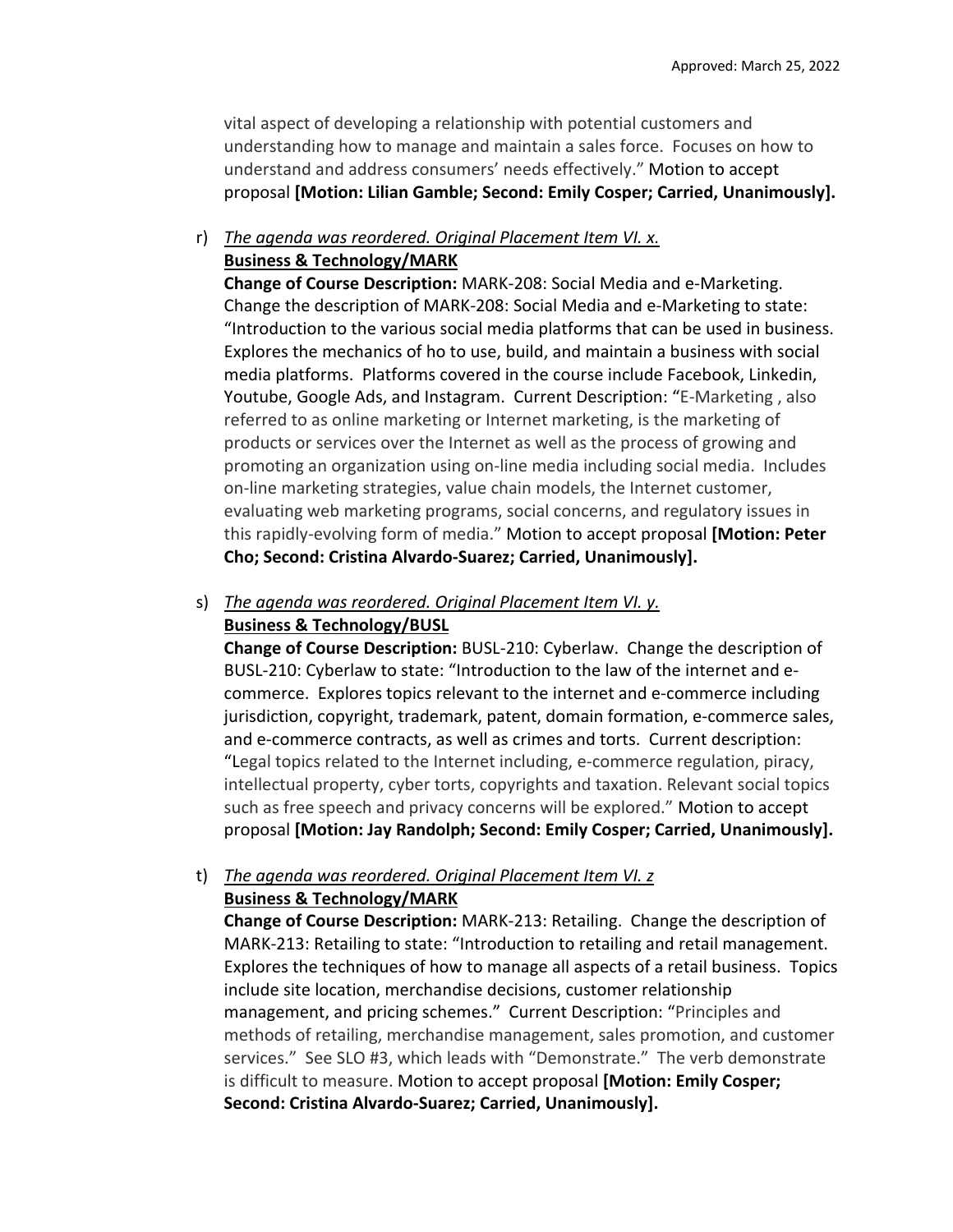vital aspect of developing a relationship with potential customers and understanding how to manage and maintain a sales force. Focuses on how to understand and address consumers' needs effectively." Motion to accept proposal **[Motion: Lilian Gamble; Second: Emily Cosper; Carried, Unanimously].**

### r) *The agenda was reordered. Original Placement Item VI. x.*  **Business & Technology/MARK**

**Change of Course Description:** MARK‐208: Social Media and e‐Marketing. Change the description of MARK‐208: Social Media and e‐Marketing to state: "Introduction to the various social media platforms that can be used in business. Explores the mechanics of ho to use, build, and maintain a business with social media platforms. Platforms covered in the course include Facebook, Linkedin, Youtube, Google Ads, and Instagram. Current Description: "E‐Marketing , also referred to as online marketing or Internet marketing, is the marketing of products or services over the Internet as well as the process of growing and promoting an organization using on‐line media including social media. Includes on‐line marketing strategies, value chain models, the Internet customer, evaluating web marketing programs, social concerns, and regulatory issues in this rapidly‐evolving form of media." Motion to accept proposal **[Motion: Peter Cho; Second: Cristina Alvardo‐Suarez; Carried, Unanimously].**

### s) *The agenda was reordered. Original Placement Item VI. y.* **Business & Technology/BUSL**

**Change of Course Description:** BUSL‐210: Cyberlaw. Change the description of BUSL‐210: Cyberlaw to state: "Introduction to the law of the internet and e‐ commerce. Explores topics relevant to the internet and e‐commerce including jurisdiction, copyright, trademark, patent, domain formation, e‐commerce sales, and e‐commerce contracts, as well as crimes and torts. Current description: "Legal topics related to the Internet including, e‐commerce regulation, piracy, intellectual property, cyber torts, copyrights and taxation. Relevant social topics such as free speech and privacy concerns will be explored." Motion to accept proposal **[Motion: Jay Randolph; Second: Emily Cosper; Carried, Unanimously].**

# t) *The agenda was reordered. Original Placement Item VI. z* **Business & Technology/MARK**

**Change of Course Description:** MARK‐213: Retailing. Change the description of MARK‐213: Retailing to state: "Introduction to retailing and retail management. Explores the techniques of how to manage all aspects of a retail business. Topics include site location, merchandise decisions, customer relationship management, and pricing schemes." Current Description: "Principles and methods of retailing, merchandise management, sales promotion, and customer services." See SLO #3, which leads with "Demonstrate." The verb demonstrate is difficult to measure. Motion to accept proposal **[Motion: Emily Cosper; Second: Cristina Alvardo‐Suarez; Carried, Unanimously].**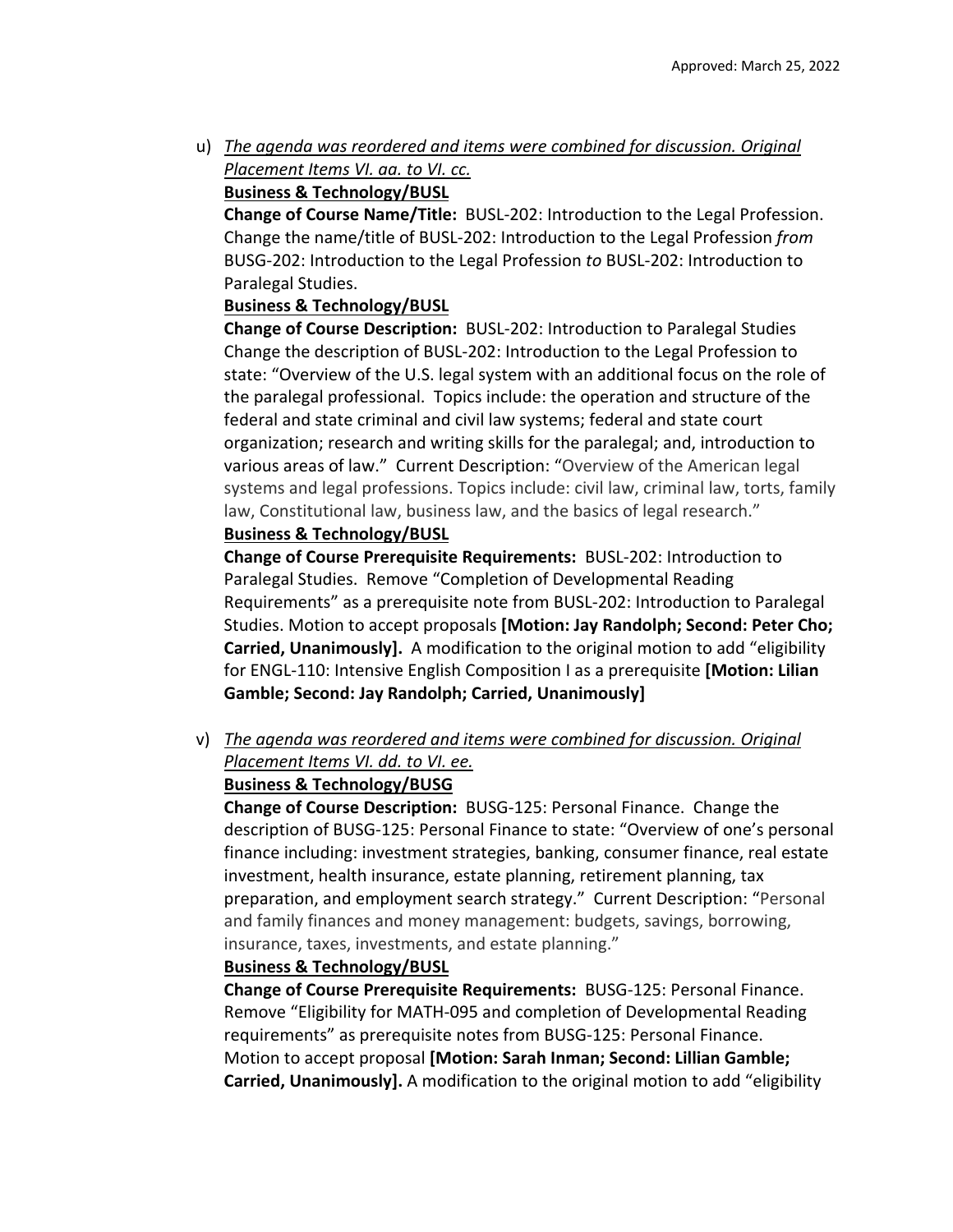u) *The agenda was reordered and items were combined for discussion. Original Placement Items VI. aa. to VI. cc.* 

# **Business & Technology/BUSL**

**Change of Course Name/Title:** BUSL‐202: Introduction to the Legal Profession. Change the name/title of BUSL‐202: Introduction to the Legal Profession *from* BUSG‐202: Introduction to the Legal Profession *to* BUSL‐202: Introduction to Paralegal Studies.

# **Business & Technology/BUSL**

**Change of Course Description:** BUSL‐202: Introduction to Paralegal Studies Change the description of BUSL‐202: Introduction to the Legal Profession to state: "Overview of the U.S. legal system with an additional focus on the role of the paralegal professional. Topics include: the operation and structure of the federal and state criminal and civil law systems; federal and state court organization; research and writing skills for the paralegal; and, introduction to various areas of law." Current Description: "Overview of the American legal systems and legal professions. Topics include: civil law, criminal law, torts, family law, Constitutional law, business law, and the basics of legal research."

# **Business & Technology/BUSL**

**Change of Course Prerequisite Requirements:** BUSL‐202: Introduction to Paralegal Studies. Remove "Completion of Developmental Reading Requirements" as a prerequisite note from BUSL‐202: Introduction to Paralegal Studies. Motion to accept proposals **[Motion: Jay Randolph; Second: Peter Cho; Carried, Unanimously].** A modification to the original motion to add "eligibility for ENGL‐110: Intensive English Composition I as a prerequisite **[Motion: Lilian Gamble; Second: Jay Randolph; Carried, Unanimously]** 

v) *The agenda was reordered and items were combined for discussion. Original Placement Items VI. dd. to VI. ee.* 

# **Business & Technology/BUSG**

**Change of Course Description:** BUSG‐125: Personal Finance. Change the description of BUSG‐125: Personal Finance to state: "Overview of one's personal finance including: investment strategies, banking, consumer finance, real estate investment, health insurance, estate planning, retirement planning, tax preparation, and employment search strategy." Current Description: "Personal and family finances and money management: budgets, savings, borrowing, insurance, taxes, investments, and estate planning."

# **Business & Technology/BUSL**

**Change of Course Prerequisite Requirements:** BUSG‐125: Personal Finance. Remove "Eligibility for MATH‐095 and completion of Developmental Reading requirements" as prerequisite notes from BUSG‐125: Personal Finance. Motion to accept proposal **[Motion: Sarah Inman; Second: Lillian Gamble; Carried, Unanimously].** A modification to the original motion to add "eligibility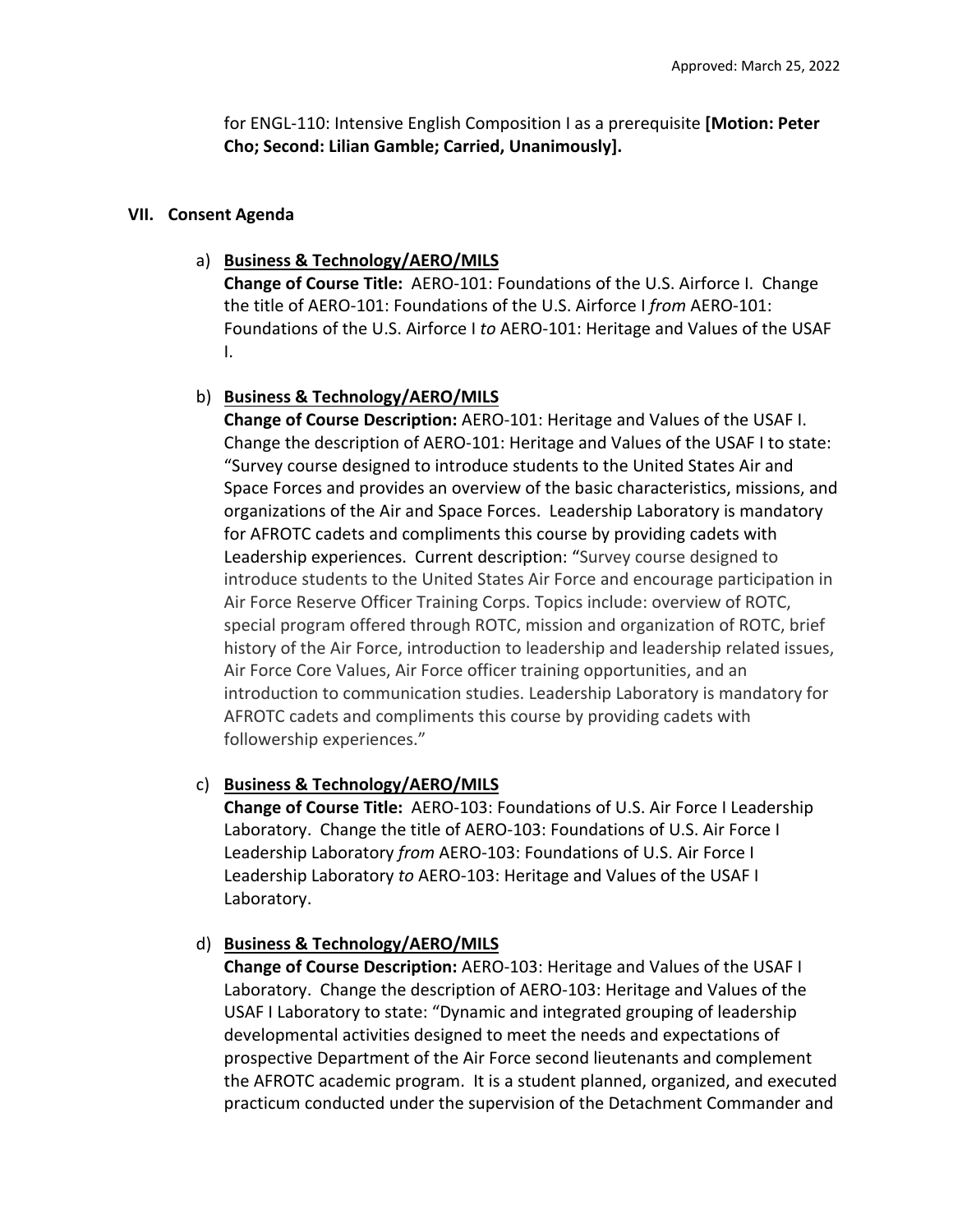for ENGL‐110: Intensive English Composition I as a prerequisite **[Motion: Peter Cho; Second: Lilian Gamble; Carried, Unanimously].**

#### **VII. Consent Agenda**

#### a) **Business & Technology/AERO/MILS**

**Change of Course Title:** AERO‐101: Foundations of the U.S. Airforce I. Change the title of AERO‐101: Foundations of the U.S. Airforce I *from* AERO‐101: Foundations of the U.S. Airforce I *to* AERO‐101: Heritage and Values of the USAF I.

#### b) **Business & Technology/AERO/MILS**

**Change of Course Description:** AERO‐101: Heritage and Values of the USAF I. Change the description of AERO‐101: Heritage and Values of the USAF I to state: "Survey course designed to introduce students to the United States Air and Space Forces and provides an overview of the basic characteristics, missions, and organizations of the Air and Space Forces. Leadership Laboratory is mandatory for AFROTC cadets and compliments this course by providing cadets with Leadership experiences. Current description: "Survey course designed to introduce students to the United States Air Force and encourage participation in Air Force Reserve Officer Training Corps. Topics include: overview of ROTC, special program offered through ROTC, mission and organization of ROTC, brief history of the Air Force, introduction to leadership and leadership related issues, Air Force Core Values, Air Force officer training opportunities, and an introduction to communication studies. Leadership Laboratory is mandatory for AFROTC cadets and compliments this course by providing cadets with followership experiences."

#### c) **Business & Technology/AERO/MILS**

**Change of Course Title:** AERO‐103: Foundations of U.S. Air Force I Leadership Laboratory. Change the title of AERO-103: Foundations of U.S. Air Force I Leadership Laboratory *from* AERO‐103: Foundations of U.S. Air Force I Leadership Laboratory *to* AERO‐103: Heritage and Values of the USAF I Laboratory.

#### d) **Business & Technology/AERO/MILS**

**Change of Course Description:** AERO‐103: Heritage and Values of the USAF I Laboratory. Change the description of AERO‐103: Heritage and Values of the USAF I Laboratory to state: "Dynamic and integrated grouping of leadership developmental activities designed to meet the needs and expectations of prospective Department of the Air Force second lieutenants and complement the AFROTC academic program. It is a student planned, organized, and executed practicum conducted under the supervision of the Detachment Commander and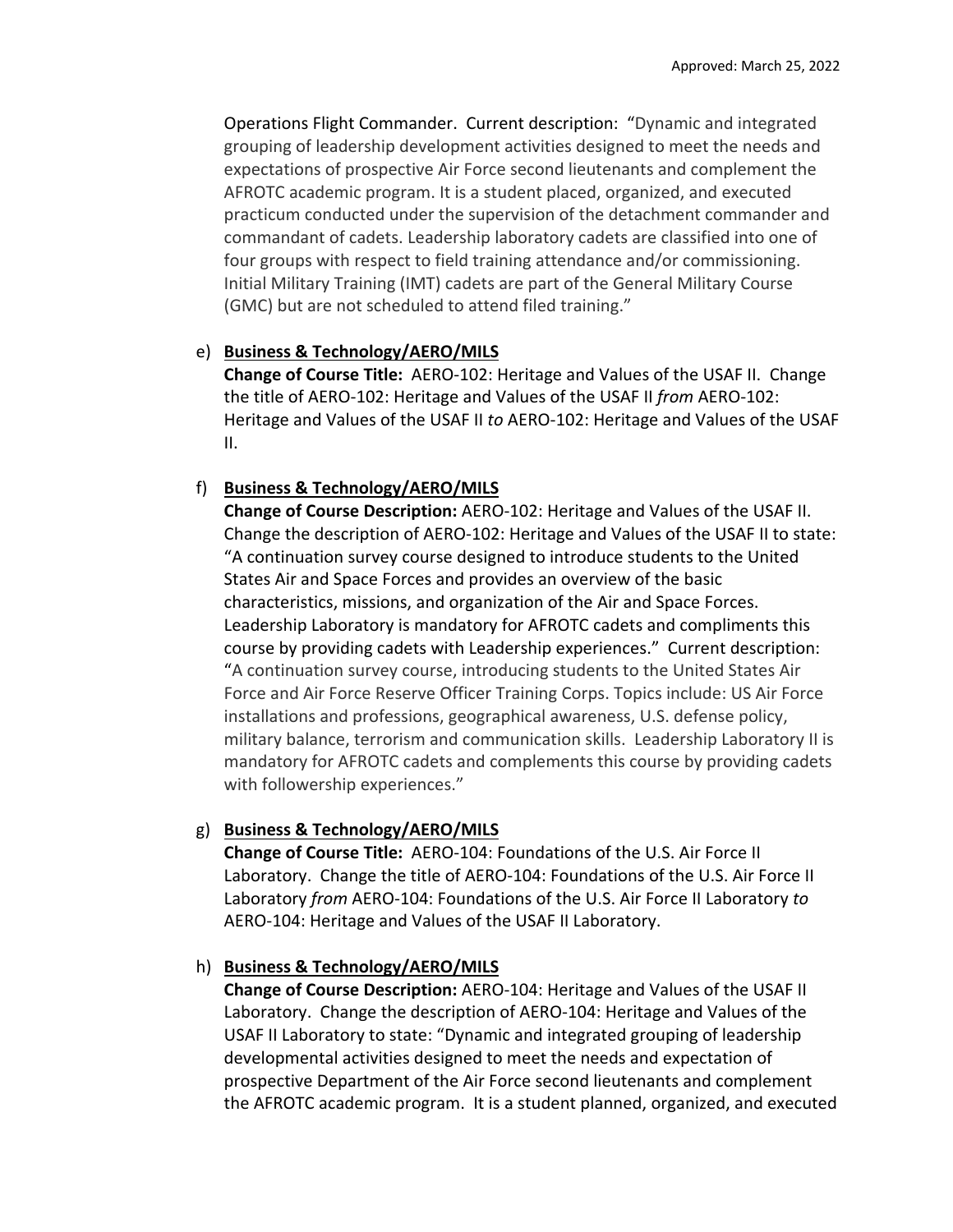Operations Flight Commander. Current description: "Dynamic and integrated grouping of leadership development activities designed to meet the needs and expectations of prospective Air Force second lieutenants and complement the AFROTC academic program. It is a student placed, organized, and executed practicum conducted under the supervision of the detachment commander and commandant of cadets. Leadership laboratory cadets are classified into one of four groups with respect to field training attendance and/or commissioning. Initial Military Training (IMT) cadets are part of the General Military Course (GMC) but are not scheduled to attend filed training."

### e) **Business & Technology/AERO/MILS**

**Change of Course Title:** AERO‐102: Heritage and Values of the USAF II. Change the title of AERO‐102: Heritage and Values of the USAF II *from* AERO‐102: Heritage and Values of the USAF II *to* AERO‐102: Heritage and Values of the USAF II.

## f) **Business & Technology/AERO/MILS**

**Change of Course Description:** AERO‐102: Heritage and Values of the USAF II. Change the description of AERO‐102: Heritage and Values of the USAF II to state: "A continuation survey course designed to introduce students to the United States Air and Space Forces and provides an overview of the basic characteristics, missions, and organization of the Air and Space Forces. Leadership Laboratory is mandatory for AFROTC cadets and compliments this course by providing cadets with Leadership experiences." Current description: "A continuation survey course, introducing students to the United States Air Force and Air Force Reserve Officer Training Corps. Topics include: US Air Force installations and professions, geographical awareness, U.S. defense policy, military balance, terrorism and communication skills. Leadership Laboratory II is mandatory for AFROTC cadets and complements this course by providing cadets with followership experiences."

### g) **Business & Technology/AERO/MILS**

**Change of Course Title:** AERO‐104: Foundations of the U.S. Air Force II Laboratory. Change the title of AERO-104: Foundations of the U.S. Air Force II Laboratory *from* AERO‐104: Foundations of the U.S. Air Force II Laboratory *to* AERO‐104: Heritage and Values of the USAF II Laboratory.

# h) **Business & Technology/AERO/MILS**

**Change of Course Description:** AERO‐104: Heritage and Values of the USAF II Laboratory. Change the description of AERO-104: Heritage and Values of the USAF II Laboratory to state: "Dynamic and integrated grouping of leadership developmental activities designed to meet the needs and expectation of prospective Department of the Air Force second lieutenants and complement the AFROTC academic program. It is a student planned, organized, and executed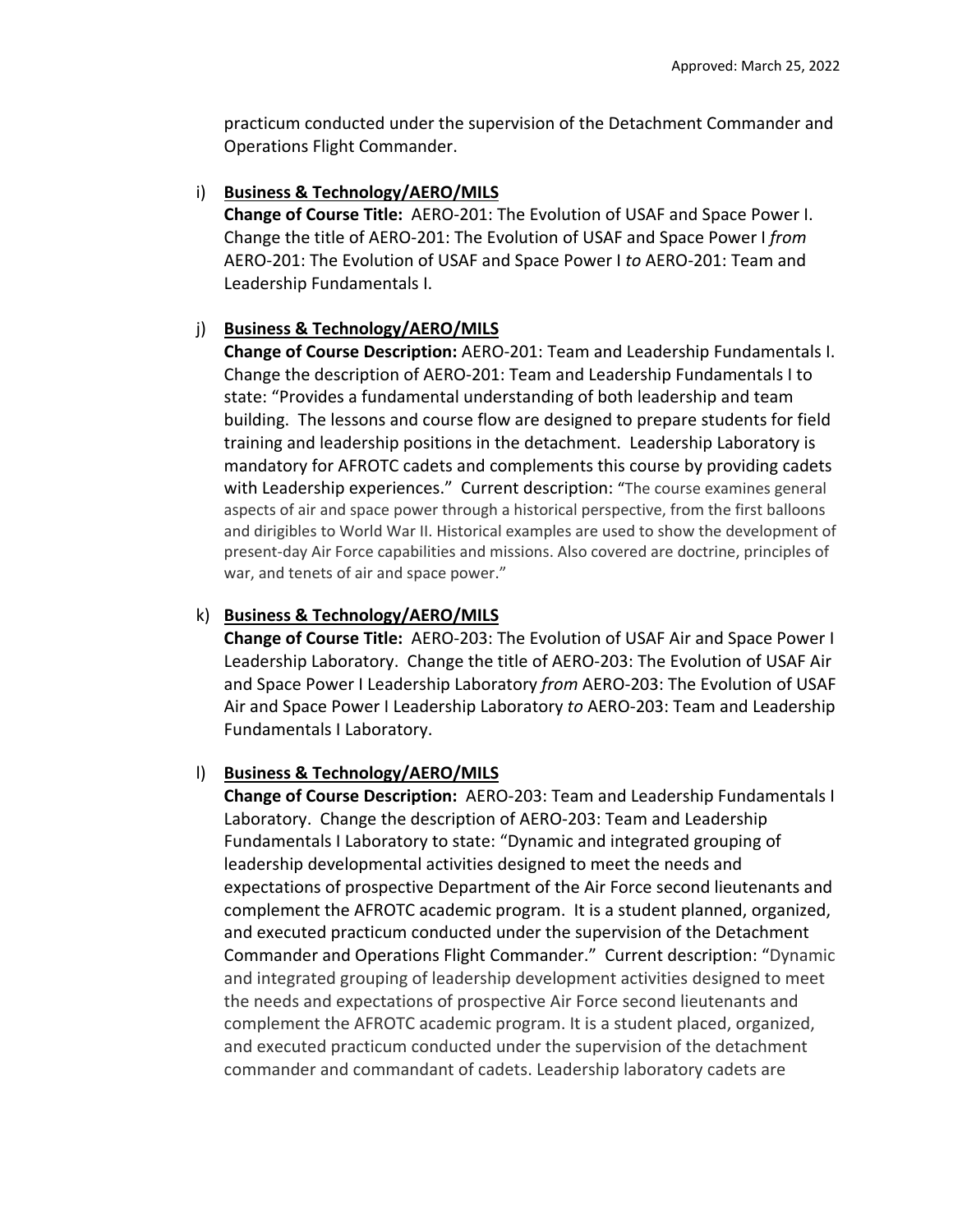practicum conducted under the supervision of the Detachment Commander and Operations Flight Commander.

# i) **Business & Technology/AERO/MILS**

**Change of Course Title:** AERO‐201: The Evolution of USAF and Space Power I. Change the title of AERO‐201: The Evolution of USAF and Space Power I *from* AERO‐201: The Evolution of USAF and Space Power I *to* AERO‐201: Team and Leadership Fundamentals I.

# j) **Business & Technology/AERO/MILS**

**Change of Course Description:** AERO‐201: Team and Leadership Fundamentals I. Change the description of AERO‐201: Team and Leadership Fundamentals I to state: "Provides a fundamental understanding of both leadership and team building. The lessons and course flow are designed to prepare students for field training and leadership positions in the detachment. Leadership Laboratory is mandatory for AFROTC cadets and complements this course by providing cadets with Leadership experiences." Current description: "The course examines general aspects of air and space power through a historical perspective, from the first balloons and dirigibles to World War II. Historical examples are used to show the development of present‐day Air Force capabilities and missions. Also covered are doctrine, principles of war, and tenets of air and space power."

# k) **Business & Technology/AERO/MILS**

**Change of Course Title:** AERO‐203: The Evolution of USAF Air and Space Power I Leadership Laboratory. Change the title of AERO‐203: The Evolution of USAF Air and Space Power I Leadership Laboratory *from* AERO‐203: The Evolution of USAF Air and Space Power I Leadership Laboratory *to* AERO‐203: Team and Leadership Fundamentals I Laboratory.

# l) **Business & Technology/AERO/MILS**

**Change of Course Description:** AERO‐203: Team and Leadership Fundamentals I Laboratory. Change the description of AERO‐203: Team and Leadership Fundamentals I Laboratory to state: "Dynamic and integrated grouping of leadership developmental activities designed to meet the needs and expectations of prospective Department of the Air Force second lieutenants and complement the AFROTC academic program. It is a student planned, organized, and executed practicum conducted under the supervision of the Detachment Commander and Operations Flight Commander." Current description: "Dynamic and integrated grouping of leadership development activities designed to meet the needs and expectations of prospective Air Force second lieutenants and complement the AFROTC academic program. It is a student placed, organized, and executed practicum conducted under the supervision of the detachment commander and commandant of cadets. Leadership laboratory cadets are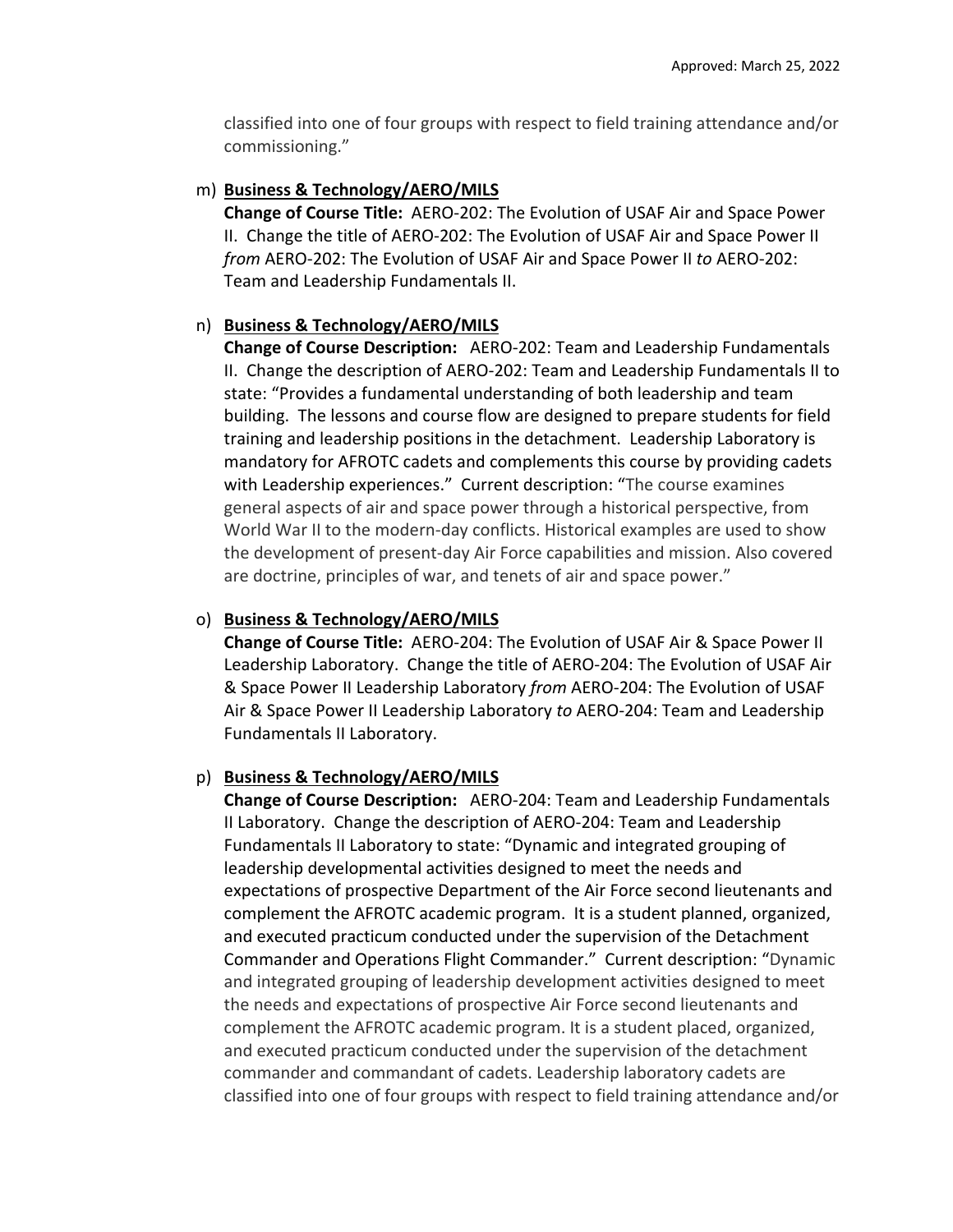classified into one of four groups with respect to field training attendance and/or commissioning."

## m) **Business & Technology/AERO/MILS**

**Change of Course Title:** AERO‐202: The Evolution of USAF Air and Space Power II. Change the title of AERO‐202: The Evolution of USAF Air and Space Power II *from* AERO‐202: The Evolution of USAF Air and Space Power II *to* AERO‐202: Team and Leadership Fundamentals II.

# n) **Business & Technology/AERO/MILS**

**Change of Course Description:** AERO‐202: Team and Leadership Fundamentals II. Change the description of AERO‐202: Team and Leadership Fundamentals II to state: "Provides a fundamental understanding of both leadership and team building. The lessons and course flow are designed to prepare students for field training and leadership positions in the detachment. Leadership Laboratory is mandatory for AFROTC cadets and complements this course by providing cadets with Leadership experiences." Current description: "The course examines general aspects of air and space power through a historical perspective, from World War II to the modern-day conflicts. Historical examples are used to show the development of present‐day Air Force capabilities and mission. Also covered are doctrine, principles of war, and tenets of air and space power."

# o) **Business & Technology/AERO/MILS**

**Change of Course Title:** AERO‐204: The Evolution of USAF Air & Space Power II Leadership Laboratory. Change the title of AERO‐204: The Evolution of USAF Air & Space Power II Leadership Laboratory *from* AERO‐204: The Evolution of USAF Air & Space Power II Leadership Laboratory *to* AERO‐204: Team and Leadership Fundamentals II Laboratory.

# p) **Business & Technology/AERO/MILS**

**Change of Course Description:** AERO‐204: Team and Leadership Fundamentals II Laboratory. Change the description of AERO‐204: Team and Leadership Fundamentals II Laboratory to state: "Dynamic and integrated grouping of leadership developmental activities designed to meet the needs and expectations of prospective Department of the Air Force second lieutenants and complement the AFROTC academic program. It is a student planned, organized, and executed practicum conducted under the supervision of the Detachment Commander and Operations Flight Commander." Current description: "Dynamic and integrated grouping of leadership development activities designed to meet the needs and expectations of prospective Air Force second lieutenants and complement the AFROTC academic program. It is a student placed, organized, and executed practicum conducted under the supervision of the detachment commander and commandant of cadets. Leadership laboratory cadets are classified into one of four groups with respect to field training attendance and/or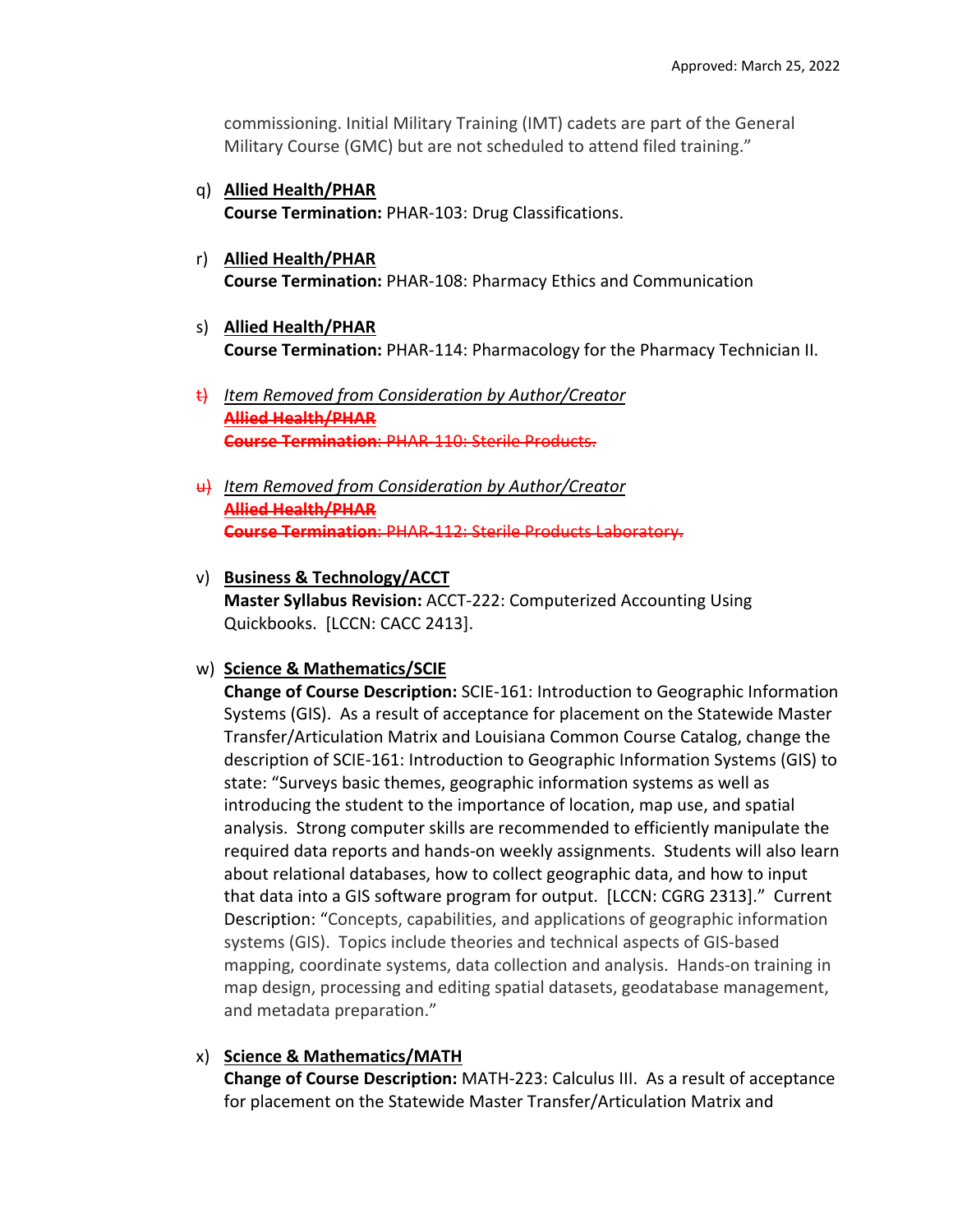commissioning. Initial Military Training (IMT) cadets are part of the General Military Course (GMC) but are not scheduled to attend filed training."

- q) **Allied Health/PHAR Course Termination:** PHAR‐103: Drug Classifications.
- r) **Allied Health/PHAR Course Termination:** PHAR‐108: Pharmacy Ethics and Communication
- s) **Allied Health/PHAR Course Termination:** PHAR‐114: Pharmacology for the Pharmacy Technician II.
- t) *Item Removed from Consideration by Author/Creator* **Allied Health/PHAR Course Termination**: PHAR‐110: Sterile Products.
- u) *Item Removed from Consideration by Author/Creator* **Allied Health/PHAR Course Termination**: PHAR‐112: Sterile Products Laboratory.
- v) **Business & Technology/ACCT Master Syllabus Revision:** ACCT‐222: Computerized Accounting Using Quickbooks. [LCCN: CACC 2413].
- w) **Science & Mathematics/SCIE**

**Change of Course Description:** SCIE‐161: Introduction to Geographic Information Systems (GIS). As a result of acceptance for placement on the Statewide Master Transfer/Articulation Matrix and Louisiana Common Course Catalog, change the description of SCIE‐161: Introduction to Geographic Information Systems (GIS) to state: "Surveys basic themes, geographic information systems as well as introducing the student to the importance of location, map use, and spatial analysis. Strong computer skills are recommended to efficiently manipulate the required data reports and hands‐on weekly assignments. Students will also learn about relational databases, how to collect geographic data, and how to input that data into a GIS software program for output. [LCCN: CGRG 2313]." Current Description: "Concepts, capabilities, and applications of geographic information systems (GIS). Topics include theories and technical aspects of GIS‐based mapping, coordinate systems, data collection and analysis. Hands‐on training in map design, processing and editing spatial datasets, geodatabase management, and metadata preparation."

x) **Science & Mathematics/MATH**

**Change of Course Description:** MATH‐223: Calculus III. As a result of acceptance for placement on the Statewide Master Transfer/Articulation Matrix and